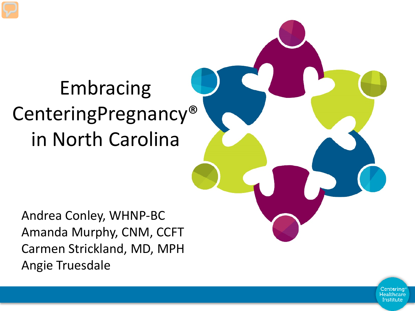# Embracing CenteringPregnancy® in North Carolina

Andrea Conley, WHNP-BC Amanda Murphy, CNM, CCFT Carmen Strickland, MD, MPH Angie Truesdale

> Centering Healthcare Institute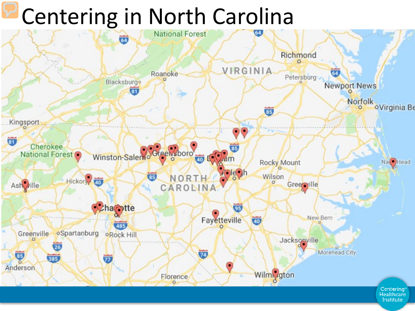# Centering in North Carolina



Institute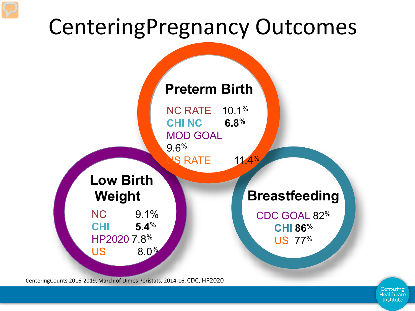# CenteringPregnancy Outcomes



CenteringCounts 2016-2019, March of Dimes Peristats, 2014-16, CDC, HP2020

Centering Healthcare Institute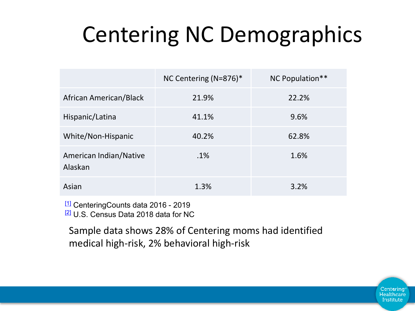# Centering NC Demographics

|                                   | NC Centering (N=876)* | NC Population** |
|-----------------------------------|-----------------------|-----------------|
| African American/Black            | 21.9%                 | 22.2%           |
| Hispanic/Latina                   | 41.1%                 | 9.6%            |
| White/Non-Hispanic                | 40.2%                 | 62.8%           |
| American Indian/Native<br>Alaskan | $.1\%$                | 1.6%            |
| Asian                             | 1.3%                  | 3.2%            |

[1] CenteringCounts data 2016 - 2019 [2] U.S. Census Data 2018 data for NC

Sample data shows 28% of Centering moms had identified medical high-risk, 2% behavioral high-risk

> Centering Healthcare Institute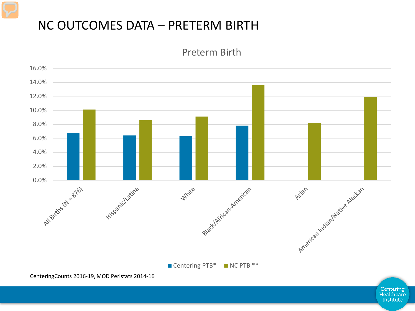#### NC OUTCOMES DATA – PRETERM BIRTH

Preterm Birth

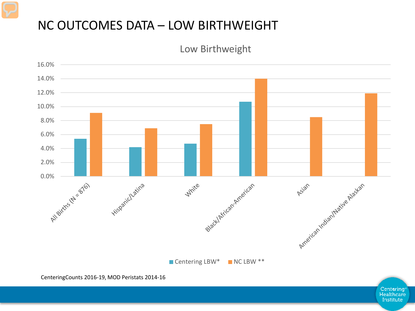#### NC OUTCOMES DATA – LOW BIRTHWEIGHT

Low Birthweight

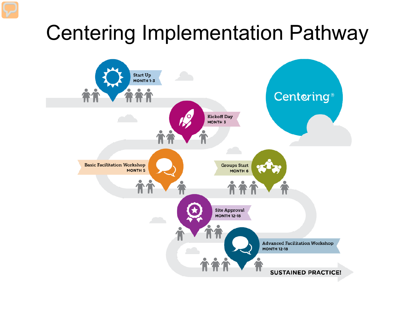### Centering Implementation Pathway